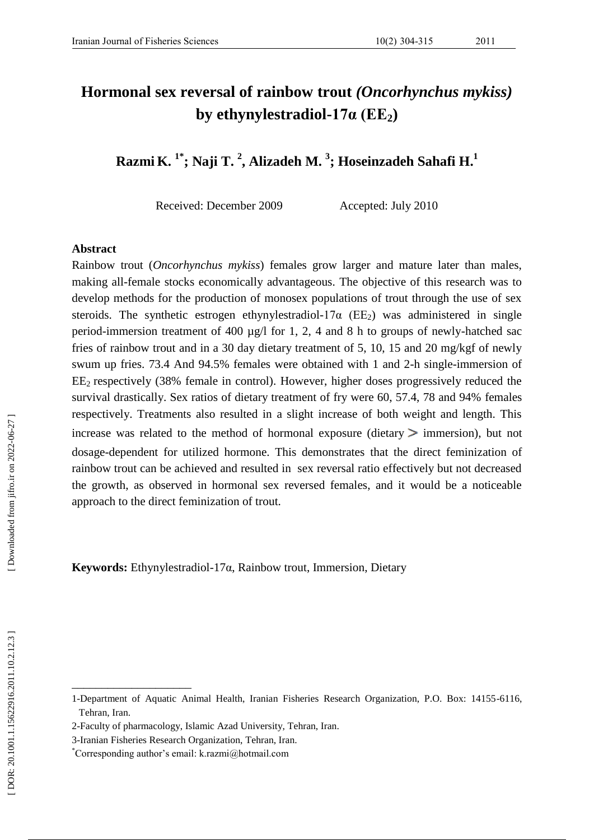# **Hormonal sex reversal of rainbow trout** *(Oncorhynchus mykiss)* **by ethynylestradiol -17α (EE 2 )**

**Razmi K . 1 \* ; Naji T . 2 , Alizadeh M . 3 ; Hoseinzadeh Sahafi H . 1**

Received: December 2009 Accepted: July 2010

#### **Abstract**

Rainbow trout (*Oncorhynchus mykiss*) females grow larger and mature later than males, making all -female stocks economically advantageous. The objective of this research was to develop methods for the production of monosex populations of trout through the use of sex steroids. The synthetic estrogen ethynylestradiol-17 $\alpha$  (EE<sub>2</sub>) was administered in single period-immersion treatment of 400 µg/l for 1, 2, 4 and 8 h to groups of newly-hatched sac fries of rainbow trout and in a 30 day dietary treatment of 5, 10, 15 and 20 mg/kgf of newly swum up fries. 73.4 And 94.5% females were obtained with 1 and 2-h single-immersion of  $EE<sub>2</sub>$  respectively (38% female in control). However, higher doses progressively reduced the survival drastically. Sex ratios of dietary treatment of fry were 60, 57.4, 78 and 94% females respectively. Treatments also resulted in a slight increase of both weight and length. This increase was related to the method of hormonal exposure (dietary  $>$  immersion), but not dosage -dependent for utilized hormone. This demonstrates that the direct feminization of rainbow trout can be achieved and resulted in sex reversal ratio effectively but not decreased the growth, as observed in hormonal sex reversed females, and it would be a noticeable approach to the direct feminization of trout.

**Keywords:**  Ethynylestradiol -17 α , Rainbow trout , Immersion , Dietary

\_\_\_\_\_\_\_\_\_\_\_\_\_\_\_\_\_\_\_\_

<sup>1-</sup>Department of Aquatic Animal Health, Iranian Fisheries Research Organization, P.O. Box: 14155 -6116, Tehran, Iran.

<sup>2</sup> -Faculty of pharmacology, Islamic Azad University, Tehran, Iran.

<sup>3</sup> -Iranian Fisheries Research Organization, Tehran, Iran.

<sup>\*</sup>Corresponding author's email: k.razmi@hotmail.com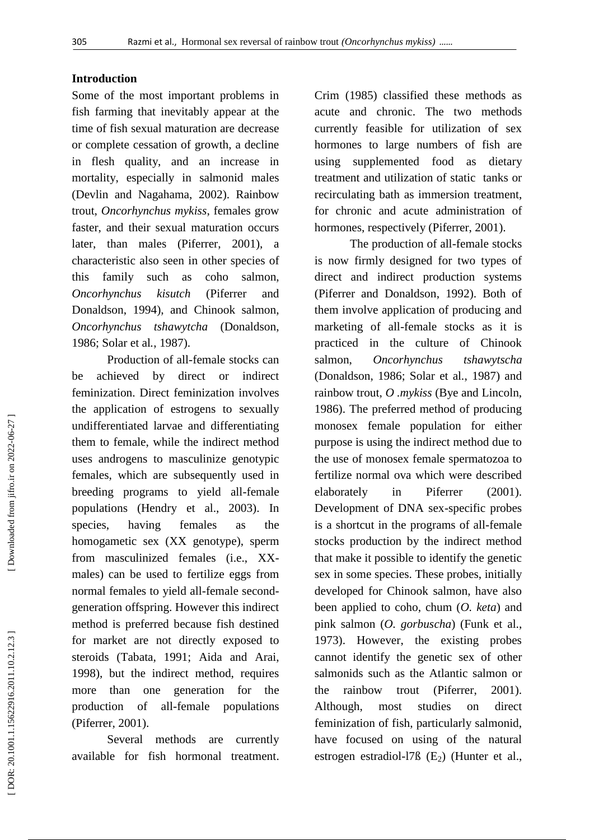## **Introduction**

Some of the most important problems in fish farming that inevitably appear at the time of fish sexual maturation are decrease or complete cessation of growth, a decline in flesh quality, and an increase in mortality, especially in salmonid males (Devlin and Nagahama, 2002). Rainbow trout, *Oncorhynchus mykiss*, females grow faster, and their sexual maturation occurs later, than males (Piferrer, 2001), a characteristic also seen in other species of this family such as coho salmon, *Oncorhynchus kisutch* (Piferrer and Donaldson, 1994), and Chinook salmon, *Oncorhynchus tshawytcha* (Donaldson, 1986; Solar et al *.*, 1987).

Production of all -female stocks can be achieved by direct or indirect feminization. Direct feminization involves the application of estrogens to sexually undifferentiated larvae and differentiating them to female, while the indirect method uses androgens to masculinize genotypic females, which are subsequently used in breeding programs to yield all -female populations (Hendry et al., 2003). In species, having females as the homogametic sex (XX genotype), sperm from masculinized females (i.e., XX males) can be used to fertilize eggs from normal females to yield all -female second generation offspring. However this indirect method is preferred because fish destined for market are not directly exposed to steroids (Tabata, 1991; Aida and Arai, 1998), but the indirect method, requires more than one generation for the production of all populations (Piferrer, 2001).

Several methods are currently available for fish hormonal treatment.

Crim (1985) classified these methods as acute and chronic. The two methods currently feasible for utilization of sex hormones to large numbers of fish are using supplemented food as dietary treatment and utilization of static tanks or recirculating bath as immersion treatment, for chronic and acute administration of hormones, respectively (Piferrer, 2001).

The production of all -female stocks is now firmly designed for two types of direct and indirect production systems (Piferrer and Donaldson, 1992). Both of them involve application of producing and marketing of all -female stocks as it is practiced in the culture of Chinook salmon, *Oncorhynchus tshawytscha*  (Donaldson, 1986; Solar et al *.*, 1987) and rainbow trout, *O .mykiss* (Bye and Lincoln, 1986). The preferred method of producing monosex female population for either purpose is using the indirect method due to the use of monosex female spermatozoa to fertilize normal ova which were described elaborately in Piferrer (2001). Development of DNA sex -specific probes is a shortcut in the programs of all -female stocks production by the indirect method that make it possible to identify the genetic sex in some species. These probes, initially developed for Chinook salmon, have also been applied to coho, chum (*O. keta*) and pink salmon (*O. gorbuscha*) (Funk et al., 1973). However, the existing probes cannot identify the genetic sex of other salmonid s such as the Atlantic salmon or the rainbow trout (Piferrer, 2001). Although, most studies on direct feminization of fish, particularly salmonid, have focused on using of the natural estrogen estradiol -l7ß (E <sup>2</sup>) (Hunter et al.,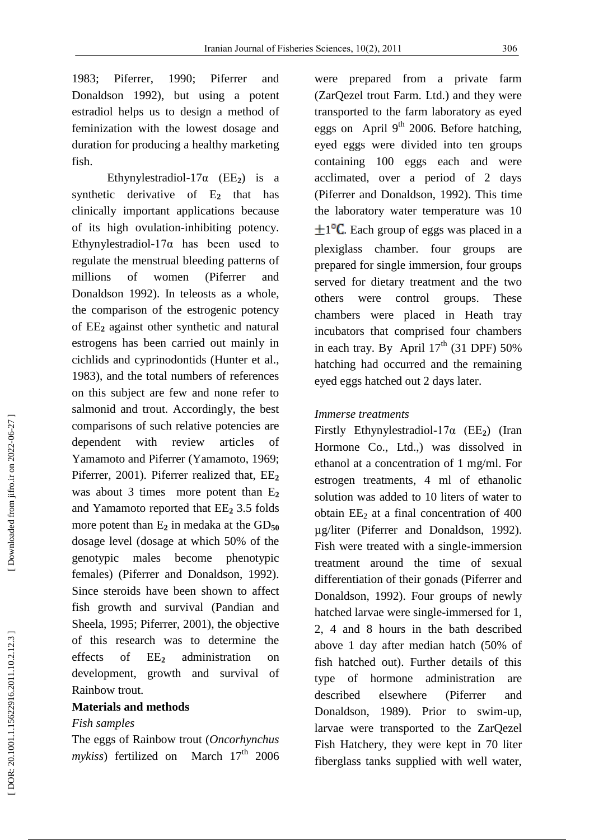1983; Piferrer, 1990; Piferrer and Donaldson 1992), but using a potent estradiol help s us to design a method of feminization with the lowest dosage and duration for producing a healthy marketing fish.

Ethynylestradiol- $17\alpha$  (EE<sub>2</sub>) is a synthetic derivative of E **<sup>2</sup>** that has clinically important application s because of its high ovulation -inhibiting potency. Ethynylestradiol -17α has been used to regulate the menstrual bleeding patterns of millions of women (Piferrer and Donaldson 1992). In teleosts as a whole, the comparison of the estrogenic potency of EE **<sup>2</sup>** against other synthetic and natural estrogens has been carried out mainly in cichlids and cyprinodontids (Hunter et al., 1983), and the total numbers of references on this subject are few and none refer to salmonid and trout. Accordingly, the best comparisons of such relative potencies are dependent with review articles of Yamamoto and Piferrer (Yamamoto, 1969; Piferrer, 2001). Piferrer realized that, EE **2** was about 3 times more potent than E **2** and Yamamoto reported that EE **<sup>2</sup>** 3.5 folds more potent than E<sub>2</sub> in medaka at the GD<sub>50</sub> dosage level (dosage at which 50% of the genotypic males become phenotypic females) (Piferrer and Donaldson, 1992). Since steroids have been shown to affect fish growth and survival (Pandian and Sheela, 1995; Piferrer, 2001), the objective of this research was to determine the effects of  $EE<sub>2</sub>$ **<sup>2</sup>** administration on development, growth and survival of Rainbow trout.

# **Materials and methods**

## *Fish samples*

The eggs of Rainbow trout (*Oncorhynchus*  mykiss) fertilized on March 17<sup>th</sup> 2006

were prepared from a private farm (ZarQezel trout Farm. Ltd.) and they were transported to the farm laboratory as eyed eggs on April  $9<sup>th</sup>$  2006. Before hatching, eyed eggs were divided into ten groups containing 100 eggs each and were acclimated, over a period of 2 days (Piferrer and Donaldson, 1992). This time the laboratory water temperature was 10  $\pm 1^{\circ}C$ . Each group of eggs was placed in a plexiglass chamber. four groups are prepared for single immersion, four groups served for dietary treatment and the two others were control groups. These chambers were placed in Heath tray incubators that comprised four chambers in each tray. By April  $17<sup>th</sup>$  (31 DPF) 50% hatching had occurred and the remaining eyed eggs hatched out 2 days later.

### *Immerse treatments*

Firstly Ethynylestradiol -17α (EE **<sup>2</sup>**) (Iran Hormone Co., Ltd.,) was dissolved in ethanol at a concentration of 1 mg/ml. For estrogen treatments, 4 ml of ethanolic solution was added to 10 liters of water to obtain EE <sup>2</sup> at a final concentration of 400 µg/liter (Piferrer an d Donaldson, 1992). Fish were treated with a single -immersion treatment around the time of sexual differentiation of their gonads (Piferrer and Donaldson, 1992). Four groups of newly hatched larvae were single -immersed for 1, 2, 4 and 8 hours in the bath described above 1 day after median hatch (50% of fish hatched out). Further details of this type of hormone administration are described elsewhere (Piferrer and Donaldson, 1989). Prior to swim -up, larvae were transported to the ZarQezel Fish Hatchery, they were kept in 70 liter fiberglass tanks supplied with well water,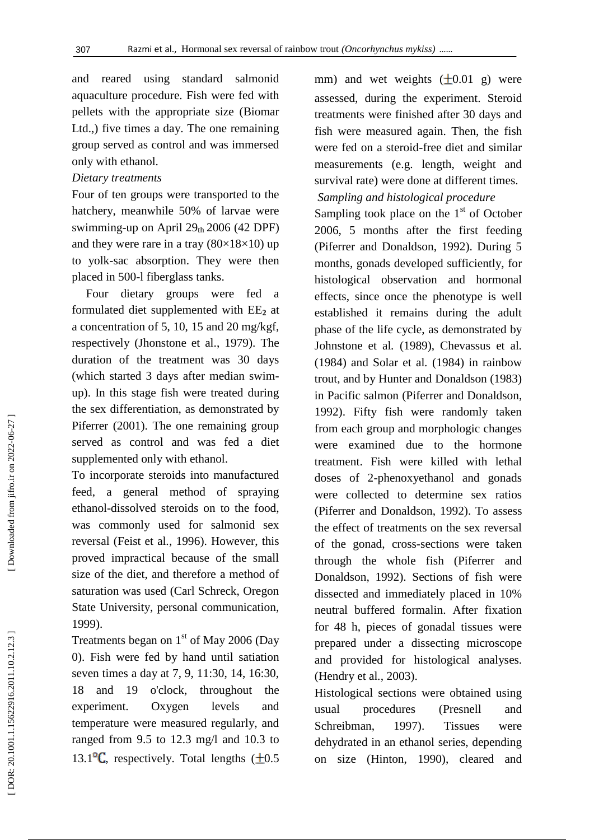and reared using standard salmonid aquaculture procedure. Fish were fed with pellets with the appropriate size (Biomar Ltd.,) five times a day. The one remaining group served as control and was immersed only with ethanol.

## *Dietary treatments*

Four of ten groups were transported to the hatchery, meanwhile 50% of larvae were swimming-up on April 29th 2006 (42 DPF) and they were rare in a tray  $(80\times18\times10)$  up to yolk -sac absorption. They were then placed in 500 -l fiberglass tanks.

Four dietary groups were fed a formulated diet supplemented with EE **<sup>2</sup>** at a concentration of 5, 10, 15 and 20 mg/kgf, respectively (Jhonstone et al., 1979). The duration of the treatment was 30 days (which started 3 days after median swim up). In this stage fish were treated during the sex differentiation, as demonstrated by Piferrer (2001). The one remaining group served as control and was fed a diet supplemented only with ethanol.

To incorporate steroids into manufactured feed, a general method of spraying ethanol -dissolved steroids on to the food, was commonly used for salmonid sex reversal (Feist et al *.*, 1996) . However, this proved impractical because of the small size of the diet, and therefore a method of saturation was used (Carl Schreck, Oregon State University, personal communication, 1999).

Treatments began on  $1<sup>st</sup>$  of May 2006 (Day 0). Fish were fed by hand until satiation seven times a day at 7, 9, 11:30, 14, 16:30, 18 and 19 o'clock, throughout the experiment. Oxygen levels and temperature were measured regularly, and ranged from 9.5 to 12.3 mg/l and 10.3 to 13.1 $\textdegree$ C. respectively. Total lengths ( $\pm 0.5$ ) mm) and wet weights  $(\pm 0.01 \text{ g})$  were assessed, during the experiment. Steroid treatments were finished after 30 days and fish were measured again. Then, the fish were fed on a steroid -free diet and similar measurements (e.g. length, weight and survival rate) were done at different times.

# *Sampling and histological procedure*

Sampling took place on the  $1<sup>st</sup>$  of October 2006, 5 months after the first feeding (Piferrer and Donaldson, 1992). During 5 months, gonads developed sufficiently, for histological observation and hormonal effects, since once the phenotype is well established it remains during the adult phase of the life cycle, as demonstrated by Johnstone et al *.* (1989), Chevassus et al *.* (1984) and Solar et al *.* (1984) in rainbow trout, and by Hunter and Donaldson (1983) in Pacific salmon (Piferrer and Donaldson, 1992). Fifty fish were randomly taken from each group and morphologic changes were examined due to the hormone treatment. Fish were killed with lethal doses of 2 -phenoxyethanol and gonads were collected to determine sex ratios (Piferrer and Donaldson, 1992). To assess the effect of treatments on the sex reversal of the gonad, cross -sections were taken through the whole fish (Piferrer and Donaldson, 1992). Sections of fish were dissected and immediately placed in 10% neutral buffered formalin. After fixation for 48 h, pieces of gonadal tissues were prepared under a dissecting microscope and provided for histological analyses. (Hendry et al *.*, 2003).

Histological sections were obtained using usual procedures (Presnell and Schreibman, 1997). Tissues were dehydrated in an ethanol series, depending on size (Hinton, 1990) , cleared and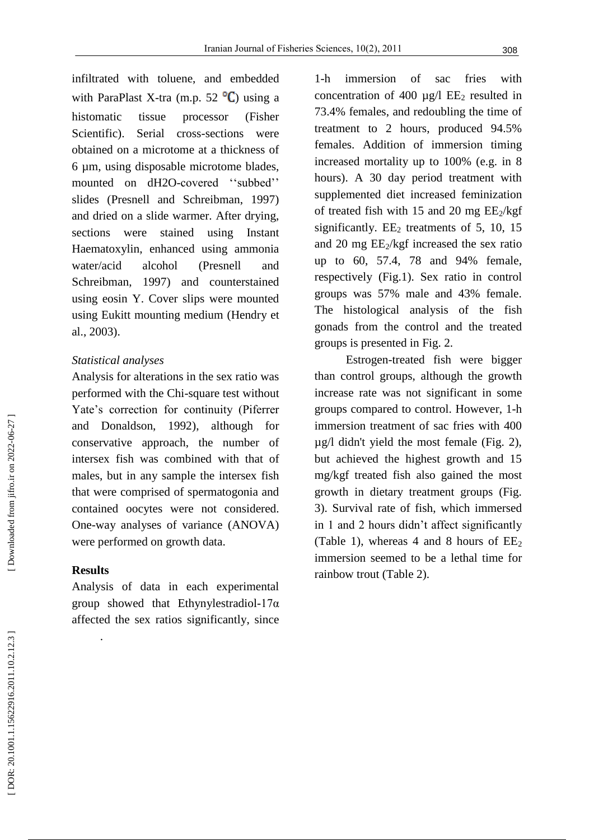infiltrated with toluene, and embedded with ParaPlast X-tra (m.p. 52 $\mathrm{C}$ ) using a histomatic tissue processor (Fisher Scientific). Serial cross -sections were obtained on a microtome at a thickness of 6 µm, using disposable microtome blades, mounted on dH2O-covered "subbed" slides (Presnell and Schreibman, 1997) and dried on a slide warmer. After drying, sections were stained using Instant Haematoxylin, enhanced using ammonia water/acid alcohol (Presnell and Schreibman, 1997) and counterstained using eosin Y. Cover slips were mounted using Eukitt mounting medium (Hendry et al., 2003) .

## *Statistical analyses*

Analysis for alterations in the sex ratio was performed with the Chi -square test without Yate's correction for continuity (Piferrer and Donaldson, 1992), although for conservative approach, the number of intersex fish was combined with that of males, but in any sample the intersex fish that were comprised of spermatogonia and contained oocytes were not considered. One -way analyses of variance (ANOVA) were performed on growth data.

## **Results**

.

Analysis of data in each experimental group showed that Ethynylestradiol -17α affected the sex ratios significantly, since

 $1-h$ immersion of sac fries with concentration of 400  $\mu$ g/l EE<sub>2</sub> resulted in 73.4% females, and redoubling the time of treatment to 2 hours, produced 94.5% females. Addition of immersion timing increased mortality up to 100% (e.g. in 8 hours). A 30 day period treatment with supplemented diet increased feminization of treated fish with 15 and 20 mg EE <sup>2</sup>/kgf significantly. EE <sup>2</sup> treatments of 5, 10, 15 and 20 mg EE <sup>2</sup>/kgf increased the sex ratio up to 60, 57.4, 78 and 94% female, respectively (Fig.1). Sex ratio in control groups was 57% male and 43% female. The histological analysis of the fish gonads from the control and the treated groups is presented in Fig. 2.

Estrogen -treated fish were bigger than control groups, although the growth increase rate was not significant in some groups compared to control. However, 1 -h immersion treatment of sac fries with 400 µg/l didn't yield the most female (Fig. 2), but achieved the highest growth and 15 mg/kgf treated fish also gained the most growth in dietary treatment groups (Fig. 3). Survival rate of fish, which immersed in 1 and 2 hours didn't affect significantly (Table 1), whereas 4 and 8 hours of  $EE_2$ immersion seemed to be a lethal time for rainbow trout (Table 2) .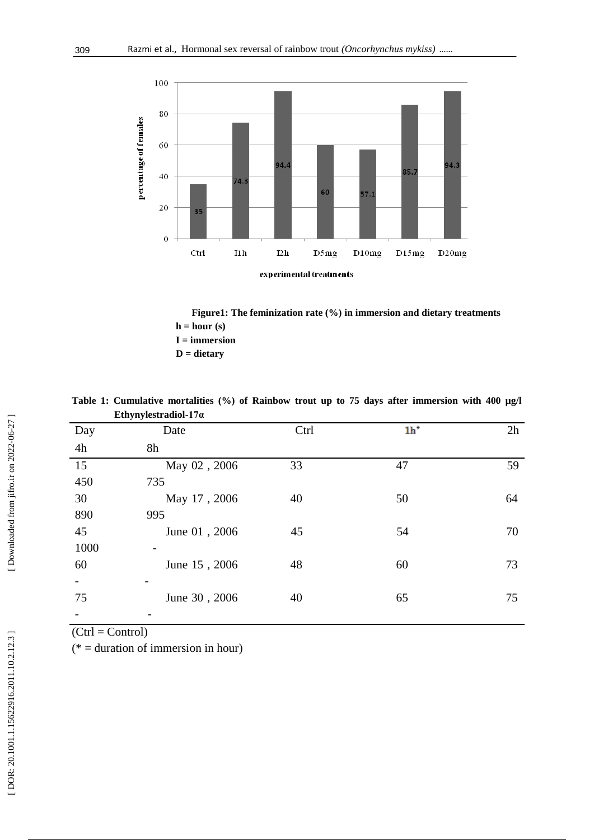

 **Figure 1 : The feminization rate (%) in immersion and dietary treatments**  $h = hour(s)$  **I = immersion D = dietary**

|                 | Ethynylestradiol-17 $\alpha$ |      |                |    |
|-----------------|------------------------------|------|----------------|----|
| Day             | Date                         | Ctrl | 1 <sup>h</sup> | 2h |
| 4h              | 8h                           |      |                |    |
| $\overline{15}$ | May 02, 2006                 | 33   | 47             | 59 |
| 450             | 735                          |      |                |    |
| 30              | May 17, 2006                 | 40   | 50             | 64 |
| 890             | 995                          |      |                |    |
| 45              | June 01, 2006                | 45   | 54             | 70 |
| 1000            |                              |      |                |    |
| 60              | June 15, 2006                | 48   | 60             | 73 |
|                 |                              |      |                |    |
| 75              | June 30, 2006                | 40   | 65             | 75 |
|                 |                              |      |                |    |

Table 1: Cumulative mortalities (%) of Rainbow trout up to 75 days after immersion with 400 µg/l **Ethynylestradiol -17α**

 $(Ctrl = Control)$ 

(\* = duration of immersion in hour)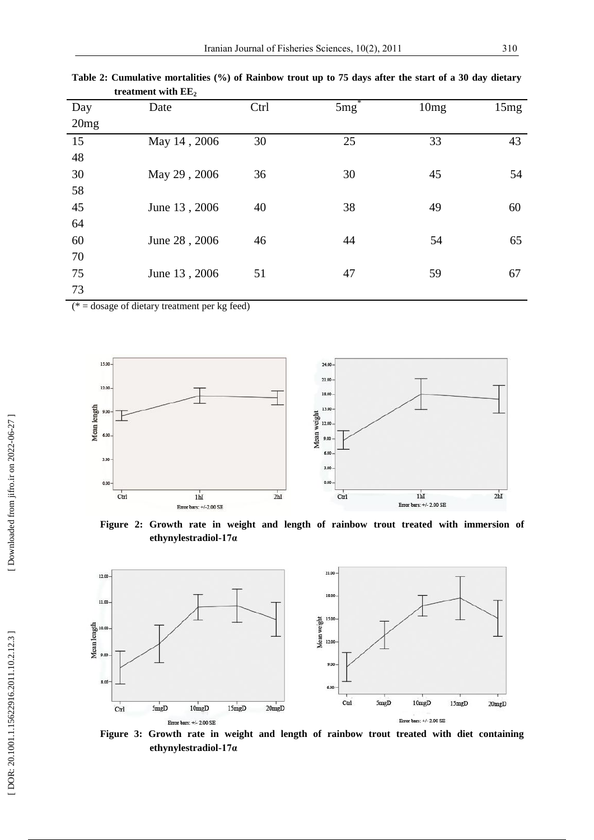| Day  | Date          | Ctrl | $5mg^2$ | 10mg | 15mg |
|------|---------------|------|---------|------|------|
| 20mg |               |      |         |      |      |
| 15   | May 14, 2006  | 30   | 25      | 33   | 43   |
| 48   |               |      |         |      |      |
| 30   | May 29, 2006  | 36   | 30      | 45   | 54   |
| 58   |               |      |         |      |      |
| 45   | June 13, 2006 | 40   | 38      | 49   | 60   |
| 64   |               |      |         |      |      |
| 60   | June 28, 2006 | 46   | 44      | 54   | 65   |
| 70   |               |      |         |      |      |
| 75   | June 13, 2006 | 51   | 47      | 59   | 67   |
| 73   |               |      |         |      |      |

**Table 2 : Cumulative mortalities (%) of Rainbow trout up to 75 days after the start of a 30 day dietary treatment with EE 2**

( $* =$  dosage of dietary treatment per kg feed)



**Figure 2 : Growth rate in weight and length of rainbow trout treated with immersion of ethynylestradiol -17α**



**Figure 3: Growth rate in weight and length of rainbow trout treated with diet containing ethynylestradiol -17α**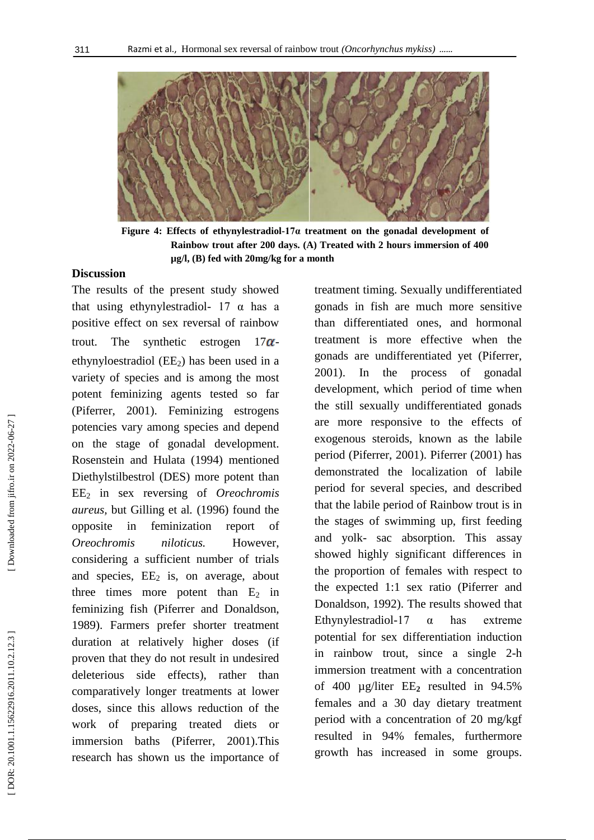

**Figure 4 : Effects of ethynylestradiol -17α treatment on the gonadal development of Rainbow trout after 200 days. (A) Treated with 2 hours immersion of 400 µg/l, (B) fed with 20mg/kg for a month**

# **Discussion**

The results of the present study showed that using ethynylestradiol-  $17 \alpha$  has a positive effect on sex reversal of rainbow trout. The synthetic estrogen  $-17\alpha$ ethynyloestradiol (EE <sup>2</sup>) has been used in a variety of species and is among the most potent feminizing agents tested so far (Piferrer, 2001). Feminizing estrogens potencies vary among species and depend on the stage of gonadal development. Rosenstein and Hulata (1994) mentioned Diethylstilbestrol (DES) more potent than EE <sup>2</sup> in sex reversing of *Oreochromis aureus,* but Gilling et al *.* (1996) found the opposite in feminization report of *Oreochromis niloticus.* However, considering a sufficient number of trials and species, EE <sup>2</sup> is, on average, about three times more potent than  $E_2$  in feminizing fish (Piferrer and Donaldson, 1989). Farmers prefer shorter treatment duration at relatively higher doses (if proven that they do not result in undesired deleterious side effects), rather than comparatively longer treatments at lower doses, since this allows reduction of the work of preparing treated diets or immersion baths (Piferrer, 2001).This research has shown us the importance of

treatment timing. Sexually undifferentiated gonads in fish are much more sensitive than differentiated ones, and hormonal treatment is more effective when the gonads are undifferentiated yet (Piferrer, 2001). In the process of gonadal development, which period of time when the still sexually undifferentiated gonads are more responsive to the effects of exogenous steroids, known as the labile period (Piferrer, 2001). Piferrer (2001) has demonstrated the localization of labile period for several species, and described that the labile period of Rainbow trout is in the stages of swimming up, first feeding and yolk - sac absorption. This assay showed highly significant differences in the proportion of females with respect to the expected 1:1 sex ratio (Piferrer and Donaldson, 1992). The results showed that Ethynylestradiol  $\alpha$  has extreme potential for sex differentiation induction in rainbow trout, since a single 2 -h immersion treatment with a concentration of 400 µg/liter EE **<sup>2</sup>** resulted in 94.5% females and a 30 day dietary treatment period with a concentration of 20 mg/kgf resulted in 94% females, furthermore growth has increased in some groups.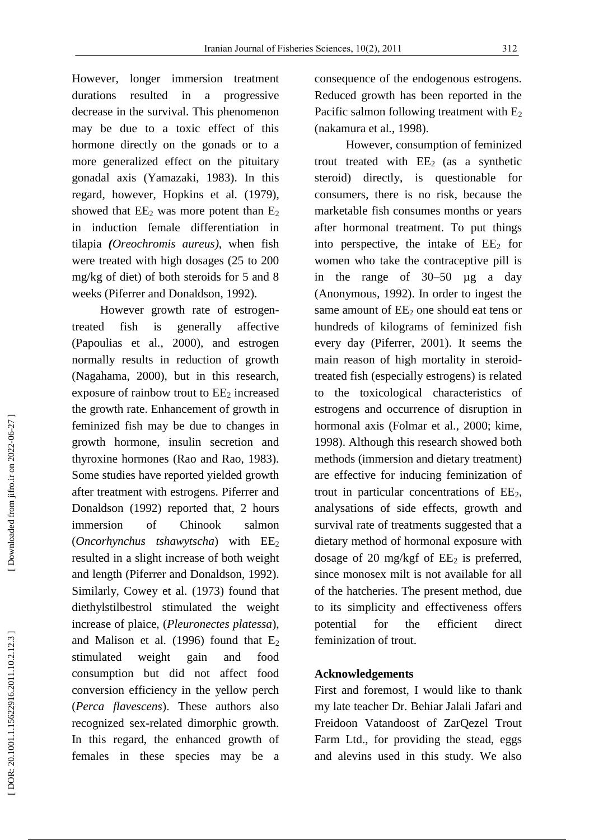However, longer immersion treatment durations resulted in a progressive decrease in the survival. This phenomenon may be due to a toxic effect of this hormone directly on the gonads or to a more generalized effect on the pituitary gonadal axis (Yamazaki, 1983). In this regard, however, Hopkins et al *.* (1979), showed that  $EE_2$  was more potent than  $E_2$ in induction female differentiation in tilapia *(Oreochromis aureus )*, when fish were treated with high dosages (25 to 200 mg/kg of diet) of both steroids for 5 and 8 weeks (Piferrer and Donaldson, 1992).

However growth rate of estrogen treated fish is generally affective (Papoulias et al *.*, 2000), and estrogen normally results in reduction of growth (Nagahama, 2000), but in this research, exposure of rainbow trout to EE <sup>2</sup> increased the growth rate. Enhancement of growth in feminized fish may be due to changes in growth hormone, insulin secretion and thyroxine hormones (Rao and Rao, 1983). Some studies have reported yielded growth after treatment with estrogens. Piferrer and Donaldson (1992) reported that, 2 hours immersion of Chinook salmon<br>(*Oncorhynchus tshawytscha*) with EE<sub>2</sub> resulted in a slight increase of both weight and length (Piferrer and Donaldson, 1992). Similarly, Cowey et al *.* (1973) found that diethylstilbestrol stimulated the weight increase of plaice, (*Pleuronectes platessa*), and Malison et al.  $(1996)$  found that  $E_2$ stimulated weight gain and food consumption but did not affect food conversion efficiency in the yellow perch (*Perca flavescens*). These authors also recognized sex -related dimorphic growth. In this regard, the enhanced growth of females in these species may be a

consequence of the endogenous estrogens. Reduced growth has been reported in the Pacific salmon following treatment with E<sub>2</sub> (nakamura et al *.*, 1998).

However, consumption of feminized trout treated with  $EE<sub>2</sub>$  (as a synthetic steroid) directly, is questionable for consumers, there is no risk, because the marketable fish consumes months or years after hormonal treatment. To put things into perspective, the intake of EE <sup>2</sup> for women who take the contraceptive pill is in the range of 30 –50 µg a day (Anonymous, 1992). In order to ingest the same amount of EE <sup>2</sup> one should eat tens or hundreds of kilograms of feminized fish every day (Piferrer, 2001). It seems the main reason of high mortality in steroid treated fish (especially estrogens) is related to the toxicological characteristics of estrogens and occurrence of disruption in hormonal axis (Folmar et al *.*, 2000; kime, 1998). Although this research showed both methods (immersion and dietary treatment) are effective for inducing feminization of trout in particular concentrations of EE 2, analysations of side effects, growth and survival rate of treatments suggested that a dietary method of hormonal exposure with dosage of 20 mg/kgf of EE <sup>2</sup> is preferred, since monosex milt is not available for all of the hatcheries. The present method, due to its simplicity and effectiveness offers potential for the efficient direct feminization of trout.

## **Acknowledgements**

First and foremost, I would like to thank my late teacher Dr. Behiar Jalali Jafari and Freidoon Vatandoost of ZarQezel Trout Farm Ltd., for providing the stead, eggs and alevins used in this study. We also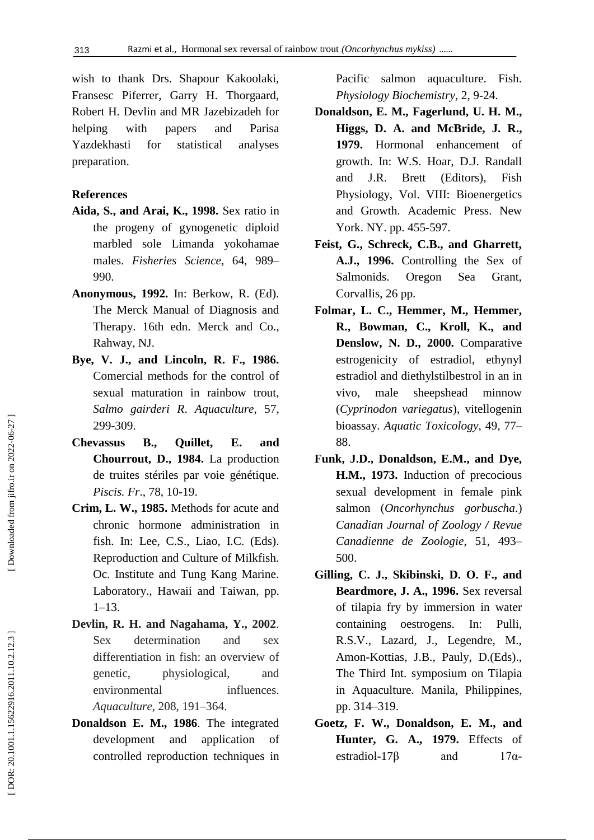wish to thank Drs. Shapour Kakoolaki, Fransesc Piferrer, Garry H. Thorgaard, Robert H. Devlin and MR Jazebizadeh for helping with papers and Parisa Yazdekhasti for statistical analyses preparation.

## **References**

- **Aida, S., and Arai, K., 1998.** Sex ratio in the progeny of gynogenetic diploid marbled sole Limanda yokohamae males. *Fisheries Science* , 64, 989 – 990.
- **Anonymous, 1992.** In: Berkow, R. (Ed). The Merck Manual of Diagnosis and Therapy. 16th edn. Merck and Co., Rahway, NJ.
- **Bye , V. J., and Lincoln, R. F., 1986.** Comercial methods for the control of sexual maturation in rainbow trout, *Salmo gairderi R*. *Aquaculture*, 57, 299 -309.
- **Chevassus B., Quillet, E. and Chourrout , D., 1984.** La production de truites stériles par voie génétique. *Piscis. Fr*., 78, 10 -19.
- **Crim, L. W., 1985.** Methods for acute and chronic hormone administration in fish. In: Lee, C.S., Liao, I.C. (Eds). Reproduction and Culture of Milkfish. Oc. Institute and Tung Kang Marine. Laboratory., Hawaii and Taiwan, pp. 1–13.
- **Devlin, R. H. and Nagahama, Y., 2002**. Sex determination and sex differentiation in fish: an overview of genetic, physiological, and environmental influences. *Aquaculture* , 208, 191 –364.
- **Donaldson E. M., 1986**. The integrated development and application of controlled reproduction techniques in

Pacific salmon aquaculture. Fish. *Physiology Biochemistry*, 2, 9 -24.

- **Donaldson, E. M., Fagerlund, U. H. M., Higgs, D. A. and McBride, J. R., 1979.** Hormonal enhancement of growth. In: W.S. Hoar, D.J. Randall and J.R. Brett (Editors), Fish Physiology, Vol. VIII: Bioenergetics and Growth. Academic Press. New York. NY. pp. 455-597.
- **Feist, G., Schreck, C.B., and Gharrett, A.J., 1996.** Controlling the Sex of Salmonids. Oregon Sea Grant, Corvallis, 26 pp.
- **Folmar, L. C., Hemmer, M., Hemmer, R., Bowman, C., Kroll, K., and Denslow, N. D., 2000.** Comparative estrogenicity of estradiol, ethynyl estradiol and diethylstilbestrol in an in vivo, male sheepshead minnow (*Cyprinodon variegatus*), vitellogenin bioassay. *Aquatic Toxicology*, 49, 77 – 88.
- **Funk, J.D., Donaldson, E.M., and Dye, H.M., 1973.** Induction of precocious sexual development in female pink salmon (*Oncorhynchus gorbuscha*.) *Canadian Journal of Zoology / Revue Canadienne de Zoologie* , 51, 493 – 500.
- **Gilling, C. J., Skibinski, D. O. F., and Beardmore, J. A., 1996.** Sex reversal of tilapia fry by immersion in water containing oestrogens. In: Pulli, R.S.V., Lazard, J., Legendre, M., Amon -Kottias, J.B., Pauly, D.(Eds)., The Third Int. symposium on Tilapia in Aquaculture. Manila, Philippines, pp. 314 –319.
- **Goetz, F. W., Donaldson, E. M., and Hunter, G. A., 1979.** Effects of estradiol-17β and 17α  $17\alpha$ -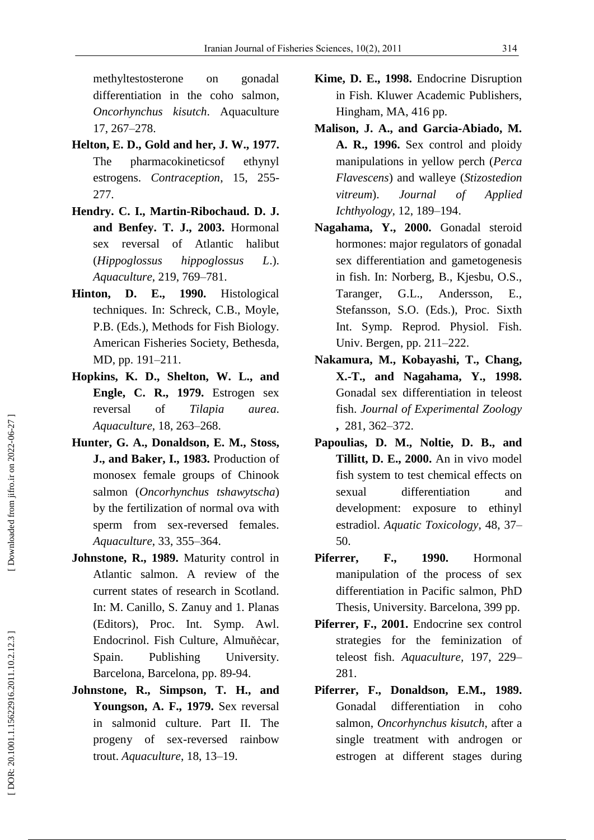methyltestosterone on gonadal differentiation in the coho salmon, *Oncorhynchus kisutch*. Aquaculture 17, 267 –278.

- **Helton, E. D. , Gold and her, J. W., 1977.** The pharmacokineticsof ethynyl estrogens. Contraception, 15, 255-277.
- **Hendry. C. I., Martin -Ribochaud. D. J. and Benfey. T. J., 2003.** Hormonal sex reversal of Atlantic halibut (*Hippoglossus hippoglossus L*.). *Aquaculture* , 219 , 769 –781.
- **Hinton, D. E., 1990.** Histological techniques. In: Schreck, C.B., Moyle, P.B. (Eds.), Methods for Fish Biology. American Fisheries Society, Bethesda, MD, pp. 191 –211.
- **Hopkins, K. D., Shelton, W. L., and Engle, C. R., 1979.** Estrogen sex reversal of *Tilapia aurea*. *Aquaculture* , 18, 263 –268.
- **Hunter, G. A., Donaldson, E. M., Stoss, J., and Baker, I., 1983.** Production of monosex female groups of Chinook salmon (*Oncorhynchus tshawytscha*) by the fertilization of normal ova with sperm from sex -reversed females. *Aquaculture* , 33, 355 –364.
- **Johnstone, R., 1989.** Maturity control in Atlantic salmon. A review of the current states of research in Scotland. In: M. Canillo, S. Zanuy and 1. Planas (Editors), Proc. Int. Symp. Awl. Endocrinol. Fish Culture, Almuňėcar, Spain. Publishing University. Barcelona, Barcelona, pp. 89 -94.
- **Johnstone, R., Simpson, T. H., and Youngson, A. F., 1979.** Sex reversal in salmonid culture. Part II. The progeny of sex -reversed rainbow trout. *Aquaculture*, 18, 13 –19.
- **Kime, D. E., 1998.** Endocrine Disruption in Fish. Kluwer Academic Publishers, Hingham, MA, 416 pp.
- **Malison, J. A., and Garcia -Abiado, M. A. R., 1996.** Sex control and ploidy manipulations in yellow perch (*Perca Flavescens*) and walleye (*Stizostedion vitreum*). *[Journal of Applied](http://www.google.com/url?sa=t&source=web&cd=1&ved=0CB4QFjAA&url=http%3A%2F%2Fwww.blackwellpublishing.com%2FJAI&ei=nIjYTfn8LsmxhAfeipHFBg&usg=AFQjCNFC86FgL6SPf0f7NGbYZZZLw6rpdw&sig2=2r6JiJGjO9Gradvv9_ctjw) [Ichthyology](http://www.google.com/url?sa=t&source=web&cd=1&ved=0CB4QFjAA&url=http%3A%2F%2Fwww.blackwellpublishing.com%2FJAI&ei=nIjYTfn8LsmxhAfeipHFBg&usg=AFQjCNFC86FgL6SPf0f7NGbYZZZLw6rpdw&sig2=2r6JiJGjO9Gradvv9_ctjw) ,* 12, 189 –194.
- **Nagahama, Y., 2000.** Gonadal steroid hormones: major regulators of gonadal sex differentiation and gametogenesis in fish. In: Norberg, B., Kjesbu, O.S., Taranger, G.L., Andersson, E., Stefansson, S.O. (Eds.), Proc. Sixth Int. Symp. Reprod. Physiol. Fish. Univ. Bergen, pp. 211 –222.
- **Nakamura, M., Kobayashi, T., Chang, X. -T., and Nagahama, Y., 1998.** Gonadal sex differentiation in teleost fish. *[Journal of Experimental Zoology](http://www.google.com/url?sa=t&source=web&cd=1&sqi=2&ved=0CB8QFjAA&url=http%3A%2F%2Fonlinelibrary.wiley.com%2Fjournal%2F10.1002%2F\(ISSN\)1932-5231&ei=KYnYTcz7FY6xhAfe4ZS-Bg&usg=AFQjCNE4AgUx4iVL_05FBPocyG-dQoZ_Hg&sig2=Q5VDCbNy29Xtc-XM_WEhvQ)* **,** 281, 362 –372.
- **Papoulias, D. M., Noltie, D. B., and Tillitt, D. E., 2000.** An in vivo model fish system to test chemical effects on sexual differentiation and development: exposure to ethinyl estradiol. *Aquatic Toxicology* , 48, 37 – 50.
- **Piferrer, F., 1990.** Hormonal manipulation of the process of sex differentiation in Pacific salmon, PhD Thesis, University. Barcelona, 399 pp.
- **Piferrer, F., 2001.** Endocrine sex control strategies for the feminization of teleost fish. Aquaculture, 197, 229-281.
- **Piferrer, F., Donaldson, E.M., 1989.** Gonadal differentiation in coho salmon, *Oncorhynchus kisutch*, after a single treatment with androgen or estrogen at different stages during